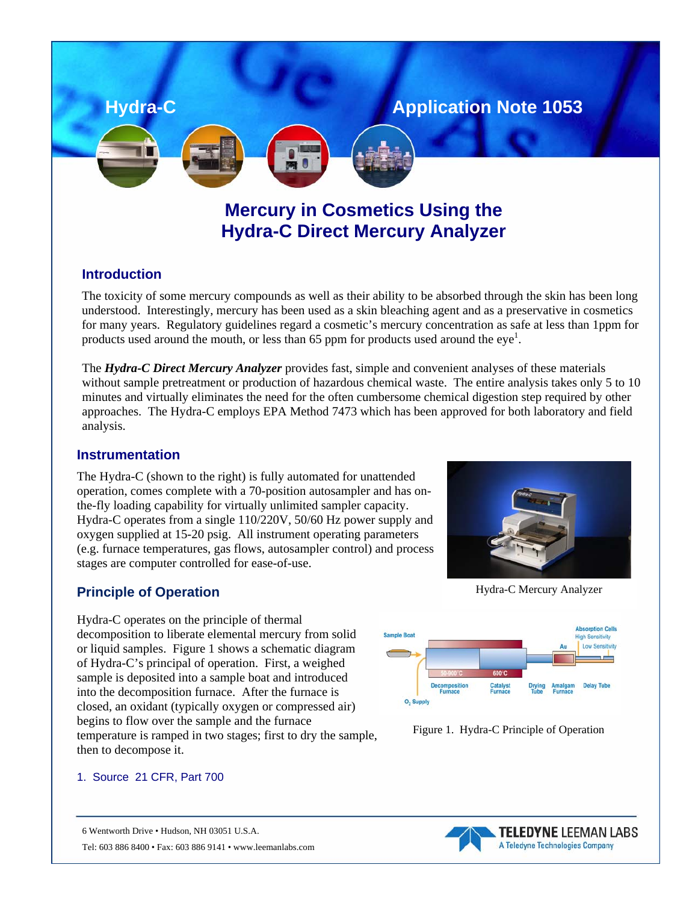# **Mercury in Cosmetics Using the Hydra-C Direct Mercury Analyzer**

**Hydra-C Application Note 1053** 

## **Introduction**

The toxicity of some mercury compounds as well as their ability to be absorbed through the skin has been long understood. Interestingly, mercury has been used as a skin bleaching agent and as a preservative in cosmetics for many years. Regulatory guidelines regard a cosmetic's mercury concentration as safe at less than 1ppm for products used around the mouth, or less than 65 ppm for products used around the  $eye<sup>1</sup>$ .

The *Hydra-C Direct Mercury Analyzer* provides fast, simple and convenient analyses of these materials without sample pretreatment or production of hazardous chemical waste. The entire analysis takes only 5 to 10 minutes and virtually eliminates the need for the often cumbersome chemical digestion step required by other approaches. The Hydra-C employs EPA Method 7473 which has been approved for both laboratory and field analysis.

## **Instrumentation**

The Hydra-C (shown to the right) is fully automated for unattended operation, comes complete with a 70-position autosampler and has onthe-fly loading capability for virtually unlimited sampler capacity. Hydra-C operates from a single 110/220V, 50/60 Hz power supply and oxygen supplied at 15-20 psig. All instrument operating parameters (e.g. furnace temperatures, gas flows, autosampler control) and process stages are computer controlled for ease-of-use.



Hydra-C operates on the principle of thermal decomposition to liberate elemental mercury from solid or liquid samples. Figure 1 shows a schematic diagram of Hydra-C's principal of operation. First, a weighed sample is deposited into a sample boat and introduced into the decomposition furnace. After the furnace is closed, an oxidant (typically oxygen or compressed air) begins to flow over the sample and the furnace temperature is ramped in two stages; first to dry the sample, then to decompose it.

Hydra-C Mercury Analyzer





#### 1. Source 21 CFR, Part 700

6 Wentworth Drive • Hudson, NH 03051 U.S.A. Tel: 603 886 8400 • Fax: 603 886 9141 • www.leemanlabs.com

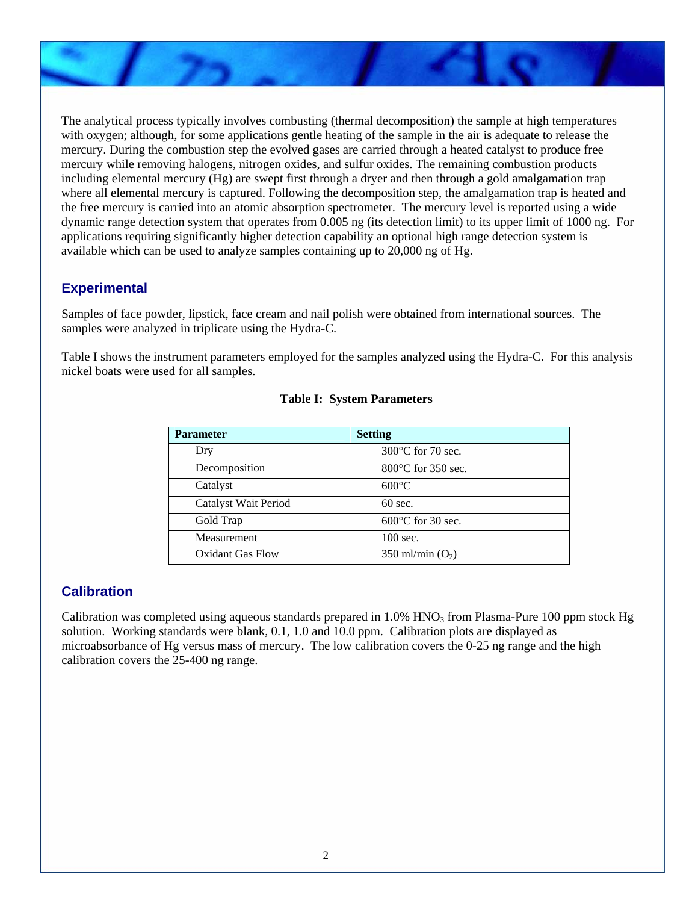The analytical process typically involves combusting (thermal decomposition) the sample at high temperatures with oxygen; although, for some applications gentle heating of the sample in the air is adequate to release the mercury. During the combustion step the evolved gases are carried through a heated catalyst to produce free mercury while removing halogens, nitrogen oxides, and sulfur oxides. The remaining combustion products including elemental mercury (Hg) are swept first through a dryer and then through a gold amalgamation trap where all elemental mercury is captured. Following the decomposition step, the amalgamation trap is heated and the free mercury is carried into an atomic absorption spectrometer. The mercury level is reported using a wide dynamic range detection system that operates from 0.005 ng (its detection limit) to its upper limit of 1000 ng. For applications requiring significantly higher detection capability an optional high range detection system is available which can be used to analyze samples containing up to 20,000 ng of Hg.

## **Experimental**

Samples of face powder, lipstick, face cream and nail polish were obtained from international sources. The samples were analyzed in triplicate using the Hydra-C.

Table I shows the instrument parameters employed for the samples analyzed using the Hydra-C. For this analysis nickel boats were used for all samples.

| <b>Parameter</b>            | <b>Setting</b>               |
|-----------------------------|------------------------------|
| Dry                         | $300^{\circ}$ C for 70 sec.  |
| Decomposition               | $800^{\circ}$ C for 350 sec. |
| Catalyst                    | $600^{\circ}$ C              |
| <b>Catalyst Wait Period</b> | $60$ sec.                    |
| Gold Trap                   | $600^{\circ}$ C for 30 sec.  |
| Measurement                 | $100 \text{ sec.}$           |
| Oxidant Gas Flow            | 350 ml/min $(O2)$            |

#### **Table I: System Parameters**

## **Calibration**

Calibration was completed using aqueous standards prepared in  $1.0\%$  HNO<sub>3</sub> from Plasma-Pure 100 ppm stock Hg solution. Working standards were blank, 0.1, 1.0 and 10.0 ppm. Calibration plots are displayed as microabsorbance of Hg versus mass of mercury. The low calibration covers the 0-25 ng range and the high calibration covers the 25-400 ng range.